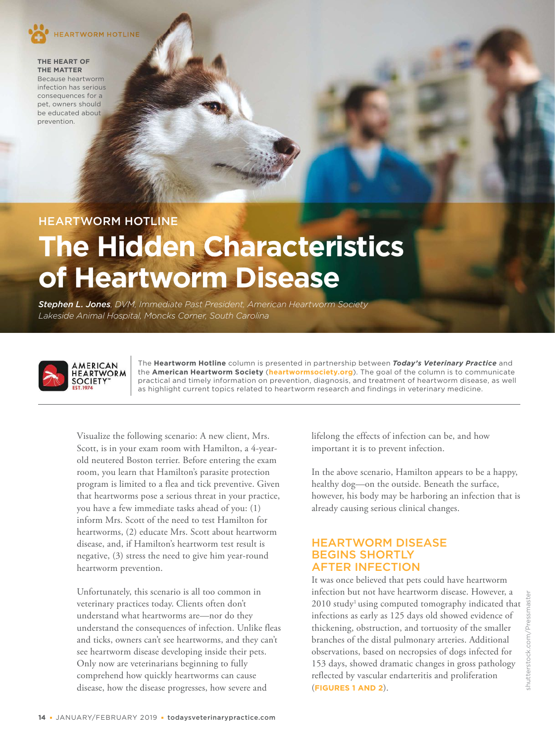

**THE HEART OF THE MATTER**  Because heartworm infection has serious consequences for a pet, owners should be educated about prevention.

# HEARTWORM HOTLINE

# **The Hidden Characteristics of Heartworm Disease**

*Stephen L. Jones, DVM, Immediate Past President, American Heartworm Society Lakeside Animal Hospital, Moncks Corner, South Carolina*



The **Heartworm Hotline** column is presented in partnership between *Today's Veterinary Practice* and the **American Heartworm Society** (**[heartwormsociety.org](https://www.heartwormsociety.org/)**). The goal of the column is to communicate practical and timely information on prevention, diagnosis, and treatment of heartworm disease, as well as highlight current topics related to heartworm research and findings in veterinary medicine.

Visualize the following scenario: A new client, Mrs. Scott, is in your exam room with Hamilton, a 4-yearold neutered Boston terrier. Before entering the exam room, you learn that Hamilton's parasite protection program is limited to a flea and tick preventive. Given that heartworms pose a serious threat in your practice, you have a few immediate tasks ahead of you: (1) inform Mrs. Scott of the need to test Hamilton for heartworms, (2) educate Mrs. Scott about heartworm disease, and, if Hamilton's heartworm test result is negative, (3) stress the need to give him year-round heartworm prevention.

Unfortunately, this scenario is all too common in veterinary practices today. Clients often don't understand what heartworms are—nor do they understand the consequences of infection. Unlike fleas and ticks, owners can't see heartworms, and they can't see heartworm disease developing inside their pets. Only now are veterinarians beginning to fully comprehend how quickly heartworms can cause disease, how the disease progresses, how severe and

lifelong the effects of infection can be, and how important it is to prevent infection.

In the above scenario, Hamilton appears to be a happy, healthy dog—on the outside. Beneath the surface, however, his body may be harboring an infection that is already causing serious clinical changes.

### HEARTWORM DISEASE BEGINS SHORTLY AFTER INFECTION

It was once believed that pets could have heartworm infection but not have heartworm disease. However, a 2010 study<sup>1</sup> using computed tomography indicated that infections as early as 125 days old showed evidence of thickening, obstruction, and tortuosity of the smaller branches of the distal pulmonary arteries. Additional observations, based on necropsies of dogs infected for 153 days, showed dramatic changes in gross pathology reflected by vascular endarteritis and proliferation (**FIGURES 1 AND 2**).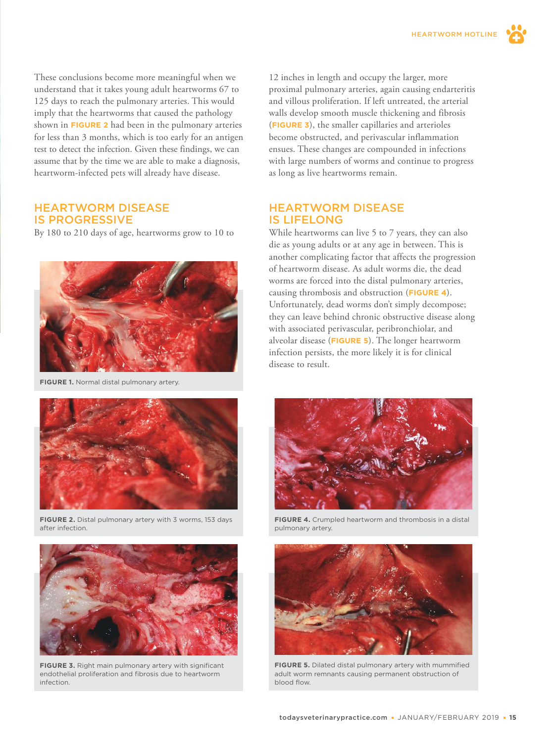These conclusions become more meaningful when we understand that it takes young adult heartworms 67 to 125 days to reach the pulmonary arteries. This would imply that the heartworms that caused the pathology shown in **FIGURE 2** had been in the pulmonary arteries for less than 3 months, which is too early for an antigen test to detect the infection. Given these findings, we can assume that by the time we are able to make a diagnosis, heartworm-infected pets will already have disease.

#### HEARTWORM DISEASE IS PROGRESSIVE

By 180 to 210 days of age, heartworms grow to 10 to



**FIGURE 1.** Normal distal pulmonary artery.



**FIGURE 2.** Distal pulmonary artery with 3 worms, 153 days after infection.



**FIGURE 3.** Right main pulmonary artery with significant endothelial proliferation and fibrosis due to heartworm infection.

12 inches in length and occupy the larger, more proximal pulmonary arteries, again causing endarteritis and villous proliferation. If left untreated, the arterial walls develop smooth muscle thickening and fibrosis (**FIGURE 3**), the smaller capillaries and arterioles become obstructed, and perivascular inflammation ensues. These changes are compounded in infections with large numbers of worms and continue to progress as long as live heartworms remain.

#### HEARTWORM DISEASE IS LIFELONG

While heartworms can live 5 to 7 years, they can also die as young adults or at any age in between. This is another complicating factor that affects the progression of heartworm disease. As adult worms die, the dead worms are forced into the distal pulmonary arteries, causing thrombosis and obstruction (**FIGURE 4**). Unfortunately, dead worms don't simply decompose; they can leave behind chronic obstructive disease along with associated perivascular, peribronchiolar, and alveolar disease (**FIGURE 5**). The longer heartworm infection persists, the more likely it is for clinical disease to result.



**FIGURE 4.** Crumpled heartworm and thrombosis in a distal pulmonary artery.



**FIGURE 5.** Dilated distal pulmonary artery with mummified adult worm remnants causing permanent obstruction of blood flow.